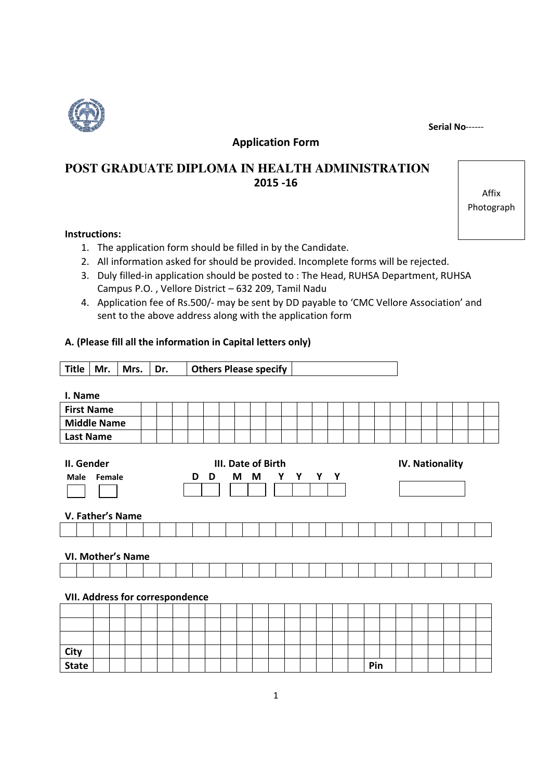Serial No------

Affix Photograph



Application Form

# **POST GRADUATE DIPLOMA IN HEALTH ADMINISTRATION**  2015 -16

### Instructions:

- 1. The application form should be filled in by the Candidate.
- 2. All information asked for should be provided. Incomplete forms will be rejected.
- 3. Duly filled-in application should be posted to : The Head, RUHSA Department, RUHSA Campus P.O. , Vellore District – 632 209, Tamil Nadu
- 4. Application fee of Rs.500/- may be sent by DD payable to 'CMC Vellore Association' and sent to the above address along with the application form

## A. (Please fill all the information in Capital letters only)

Title | Mr. | Mrs. | Dr. | Others Please specify

| I. Name                         |                                     |                        |  |  |  |  |  |  |  |  |
|---------------------------------|-------------------------------------|------------------------|--|--|--|--|--|--|--|--|
| <b>First Name</b>               |                                     |                        |  |  |  |  |  |  |  |  |
| <b>Middle Name</b>              |                                     |                        |  |  |  |  |  |  |  |  |
| <b>Last Name</b>                |                                     |                        |  |  |  |  |  |  |  |  |
|                                 |                                     |                        |  |  |  |  |  |  |  |  |
| II. Gender                      | III. Date of Birth                  | <b>IV. Nationality</b> |  |  |  |  |  |  |  |  |
| <b>Male</b><br>Female           | M<br>Y<br>Y Y<br>M<br>Y I<br>D<br>D |                        |  |  |  |  |  |  |  |  |
|                                 |                                     |                        |  |  |  |  |  |  |  |  |
|                                 |                                     |                        |  |  |  |  |  |  |  |  |
| V. Father's Name                |                                     |                        |  |  |  |  |  |  |  |  |
|                                 |                                     |                        |  |  |  |  |  |  |  |  |
| <b>VI. Mother's Name</b>        |                                     |                        |  |  |  |  |  |  |  |  |
|                                 |                                     |                        |  |  |  |  |  |  |  |  |
|                                 |                                     |                        |  |  |  |  |  |  |  |  |
| VII. Address for correspondence |                                     |                        |  |  |  |  |  |  |  |  |
|                                 |                                     |                        |  |  |  |  |  |  |  |  |
|                                 |                                     |                        |  |  |  |  |  |  |  |  |
|                                 |                                     |                        |  |  |  |  |  |  |  |  |
| City                            |                                     |                        |  |  |  |  |  |  |  |  |
| <b>State</b>                    |                                     | Pin                    |  |  |  |  |  |  |  |  |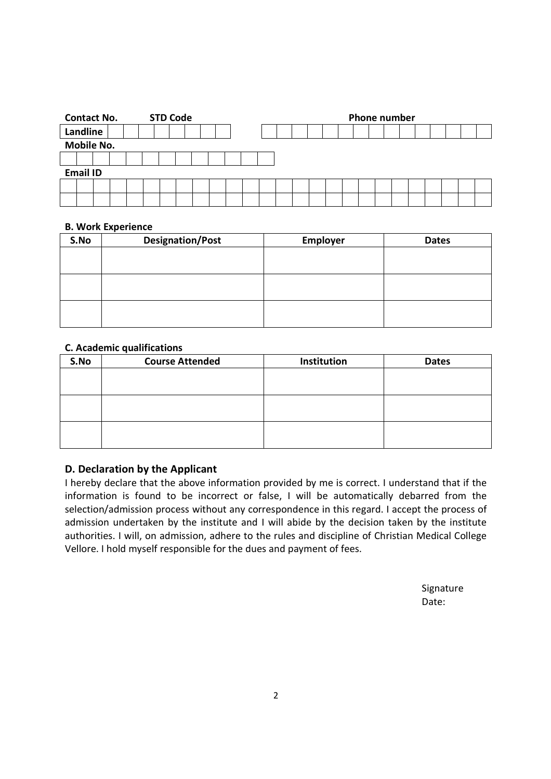|          |                 | <b>Contact No.</b> |  |  |  |  | <b>STD Code</b> |  |  | <b>Phone number</b> |  |  |  |  |  |  |  |  |  |  |
|----------|-----------------|--------------------|--|--|--|--|-----------------|--|--|---------------------|--|--|--|--|--|--|--|--|--|--|
| Landline |                 |                    |  |  |  |  |                 |  |  |                     |  |  |  |  |  |  |  |  |  |  |
|          |                 | <b>Mobile No.</b>  |  |  |  |  |                 |  |  |                     |  |  |  |  |  |  |  |  |  |  |
|          |                 |                    |  |  |  |  |                 |  |  |                     |  |  |  |  |  |  |  |  |  |  |
|          | <b>Email ID</b> |                    |  |  |  |  |                 |  |  |                     |  |  |  |  |  |  |  |  |  |  |
|          |                 |                    |  |  |  |  |                 |  |  |                     |  |  |  |  |  |  |  |  |  |  |
|          |                 |                    |  |  |  |  |                 |  |  |                     |  |  |  |  |  |  |  |  |  |  |

#### B. Work Experience

| S.No | <b>Designation/Post</b> | Employer | <b>Dates</b> |  |  |  |  |
|------|-------------------------|----------|--------------|--|--|--|--|
|      |                         |          |              |  |  |  |  |
|      |                         |          |              |  |  |  |  |
|      |                         |          |              |  |  |  |  |
|      |                         |          |              |  |  |  |  |
|      |                         |          |              |  |  |  |  |
|      |                         |          |              |  |  |  |  |

### C. Academic qualifications

| S.No | <b>Course Attended</b> | Institution | <b>Dates</b> |
|------|------------------------|-------------|--------------|
|      |                        |             |              |
|      |                        |             |              |
|      |                        |             |              |
|      |                        |             |              |
|      |                        |             |              |
|      |                        |             |              |

## D. Declaration by the Applicant

I hereby declare that the above information provided by me is correct. I understand that if the information is found to be incorrect or false, I will be automatically debarred from the selection/admission process without any correspondence in this regard. I accept the process of admission undertaken by the institute and I will abide by the decision taken by the institute authorities. I will, on admission, adhere to the rules and discipline of Christian Medical College Vellore. I hold myself responsible for the dues and payment of fees.

> Signature Date: